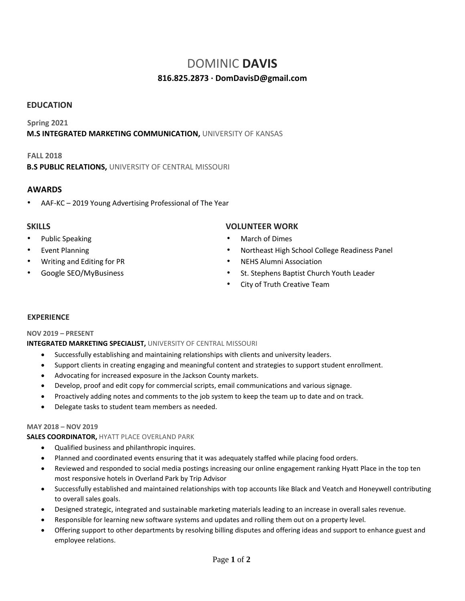# DOMINIC **DAVIS**

## **816.825.2873 · DomDavisD@gmail.com**

#### **EDUCATION**

#### **Spring 2021 M.S INTEGRATED MARKETING COMMUNICATION,** UNIVERSITY OF KANSAS

#### **FALL 2018**

**B.S PUBLIC RELATIONS,** UNIVERSITY OF CENTRAL MISSOURI

#### **AWARDS**

• AAF-KC – 2019 Young Advertising Professional of The Year

- Public Speaking
- **Event Planning**
- Writing and Editing for PR
- Google SEO/MyBusiness

#### **SKILLS VOLUNTEER WORK**

- March of Dimes
- Northeast High School College Readiness Panel
- NEHS Alumni Association
- St. Stephens Baptist Church Youth Leader
- City of Truth Creative Team

#### **EXPERIENCE**

#### **NOV 2019 – PRESENT**

#### **INTEGRATED MARKETING SPECIALIST,** UNIVERSITY OF CENTRAL MISSOURI

- Successfully establishing and maintaining relationships with clients and university leaders.
- Support clients in creating engaging and meaningful content and strategies to support student enrollment.
- Advocating for increased exposure in the Jackson County markets.
- Develop, proof and edit copy for commercial scripts, email communications and various signage.
- Proactively adding notes and comments to the job system to keep the team up to date and on track.
- Delegate tasks to student team members as needed.

#### **MAY 2018 – NOV 2019**

### **SALES COORDINATOR,** HYATT PLACE OVERLAND PARK

- Qualified business and philanthropic inquires.
- Planned and coordinated events ensuring that it was adequately staffed while placing food orders.
- Reviewed and responded to social media postings increasing our online engagement ranking Hyatt Place in the top ten most responsive hotels in Overland Park by Trip Advisor
- Successfully established and maintained relationships with top accounts like Black and Veatch and Honeywell contributing to overall sales goals.
- Designed strategic, integrated and sustainable marketing materials leading to an increase in overall sales revenue.
- Responsible for learning new software systems and updates and rolling them out on a property level.
- Offering support to other departments by resolving billing disputes and offering ideas and support to enhance guest and employee relations.